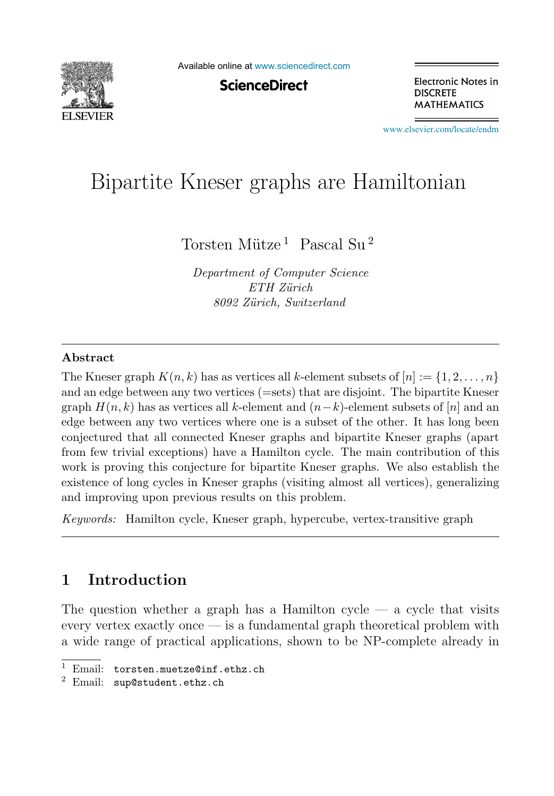

Available online at [www.sciencedirect.com](http://www.sciencedirect.com)

**ScienceDirect** 

Electronic Notes in **DISCRETE MATHEMATICS** 

[www.elsevier.com/locate/endm](http://www.elsevier.com/locate/endm)

# $\begin{bmatrix} 1 & 0 & 1 \end{bmatrix}$

Torsten Mütze<sup>1</sup> Pascal Su<sup>2</sup>

*Department of Computer Science ETH Z¨urich 8092 Z¨urich, Switzerland*

### **Abstract**

The Kneser graph  $K(n, k)$  has as vertices all k-element subsets of  $[n] := \{1, 2, ..., n\}$ and an edge between any two vertices (=sets) that are disjoint. The bipartite Kneser graph  $H(n, k)$  has as vertices all k-element and  $(n-k)$ -element subsets of [n] and an edge between any two vertices where one is a subset of the other. It has long been conjectured that all connected Kneser graphs and bipartite Kneser graphs (apart from few trivial exceptions) have a Hamilton cycle. The main contribution of this work is proving this conjecture for bipartite Kneser graphs. We also establish the existence of long cycles in Kneser graphs (visiting almost all vertices), generalizing and improving upon previous results on this problem.

*Keywords:* Hamilton cycle, Kneser graph, hypercube, vertex-transitive graph

# **1 Introduction**

The question whether a graph has a Hamilton cycle  $-$  a cycle that visits every vertex exactly once — is a fundamental graph theoretical problem with a wide range of practical applications, shown to be NP-complete already in

Email: torsten.muetze@inf.ethz.ch

<sup>2</sup> Email: sup@student.ethz.ch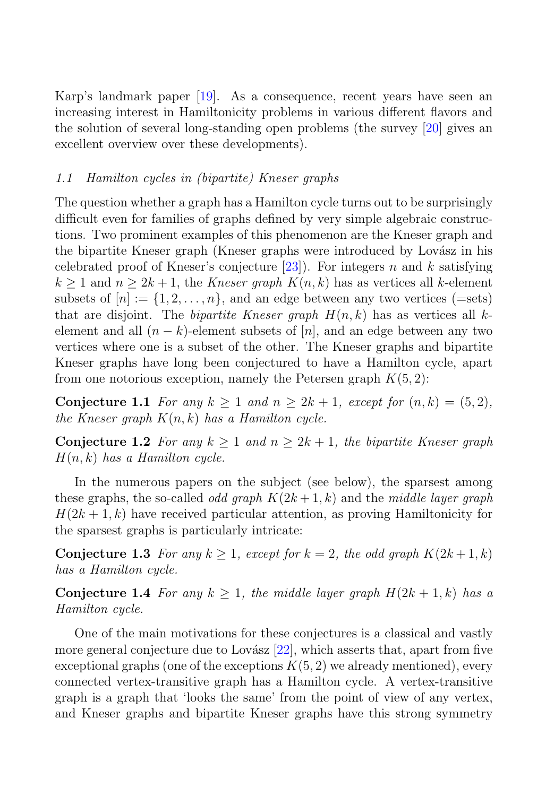Karp's landmark paper [19]. As a consequence, recent years have seen an increasing interest in Hamiltonicity problems in various different flavors and the solution of several long-standing open problems (the survey [20] gives an excellent overview over these developments).

## 1.1 Hamilton cycles in (bipartite) Kneser graphs

The question whether a graph has a Hamilton cycle turns out to be surprisingly difficult even for families of graphs defined by very simple algebraic constructions. Two prominent examples of this phenomenon are the Kneser graph and the bipartite Kneser graph (Kneser graphs were introduced by Lovász in his celebrated proof of Kneser's conjecture [23]). For integers n and k satisfying  $k \geq 1$  and  $n \geq 2k+1$ , the Kneser graph  $K(n, k)$  has as vertices all k-element subsets of  $[n] := \{1, 2, ..., n\}$ , and an edge between any two vertices (=sets) that are disjoint. The *bipartite Kneser graph*  $H(n, k)$  has as vertices all kelement and all  $(n - k)$ -element subsets of  $[n]$ , and an edge between any two vertices where one is a subset of the other. The Kneser graphs and bipartite Kneser graphs have long been conjectured to have a Hamilton cycle, apart from one notorious exception, namely the Petersen graph  $K(5, 2)$ :

**Conjecture 1.1** For any  $k \ge 1$  and  $n \ge 2k + 1$ , except for  $(n, k) = (5, 2)$ , the Kneser graph  $K(n, k)$  has a Hamilton cycle.

**Conjecture 1.2** For any  $k \geq 1$  and  $n \geq 2k + 1$ , the bipartite Kneser graph  $H(n, k)$  has a Hamilton cycle.

In the numerous papers on the subject (see below), the sparsest among these graphs, the so-called *odd graph*  $K(2k+1, k)$  and the middle layer graph  $H(2k+1, k)$  have received particular attention, as proving Hamiltonicity for the sparsest graphs is particularly intricate:

**Conjecture 1.3** For any  $k \geq 1$ , except for  $k = 2$ , the odd graph  $K(2k+1, k)$ has a Hamilton cycle.

**Conjecture 1.4** For any  $k \geq 1$ , the middle layer graph  $H(2k+1, k)$  has a Hamilton cycle.

One of the main motivations for these conjectures is a classical and vastly more general conjecture due to Lovász  $[22]$ , which asserts that, apart from five exceptional graphs (one of the exceptions  $K(5, 2)$  we already mentioned), every connected vertex-transitive graph has a Hamilton cycle. A vertex-transitive graph is a graph that 'looks the same' from the point of view of any vertex, and Kneser graphs and bipartite Kneser graphs have this strong symmetry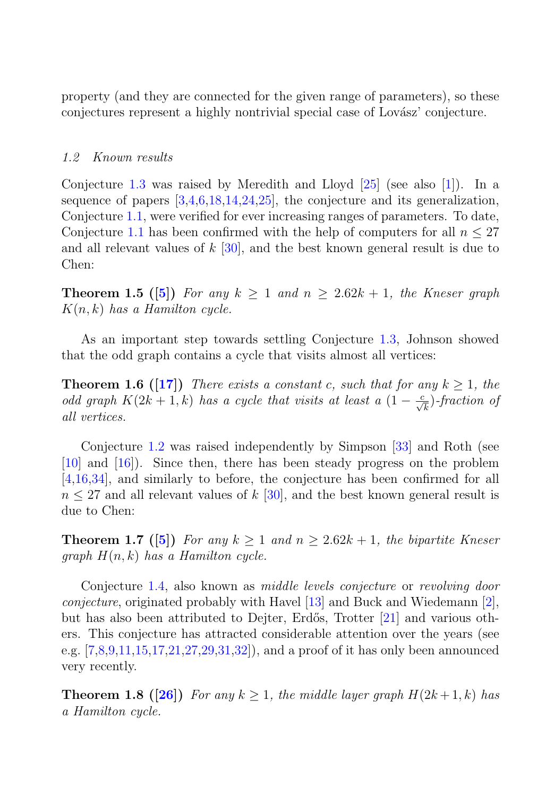property (and they are connected for the given range of parameters), so these conjectures represent a highly nontrivial special case of Lovász' conjecture.

#### 1.2 Known results

Conjecture 1.3 was raised by Meredith and Lloyd [25] (see also [1]). In a sequence of papers [3,4,6,18,14,24,25], the conjecture and its generalization, Conjecture 1.1, were verified for ever increasing ranges of parameters. To date, Conjecture 1.1 has been confirmed with the help of computers for all  $n \leq 27$ and all relevant values of  $k \sim 30$ , and the best known general result is due to Chen:

**Theorem 1.5 ([5])** For any  $k \ge 1$  and  $n \ge 2.62k + 1$ , the Kneser graph  $K(n, k)$  has a Hamilton cycle.

As an important step towards settling Conjecture 1.3, Johnson showed that the odd graph contains a cycle that visits almost all vertices:

**Theorem 1.6 ([17])** There exists a constant c, such that for any  $k \geq 1$ , the odd graph  $K(2k+1,k)$  has a cycle that visits at least a  $(1-\frac{c}{\sqrt{k}})$ -fraction of all vertices.

Conjecture 1.2 was raised independently by Simpson [33] and Roth (see [10] and [16]). Since then, there has been steady progress on the problem [4,16,34], and similarly to before, the conjecture has been confirmed for all  $n \leq 27$  and all relevant values of k [30], and the best known general result is due to Chen:

**Theorem 1.7** ([5]) For any  $k \ge 1$  and  $n \ge 2.62k + 1$ , the bipartite Kneser graph  $H(n, k)$  has a Hamilton cycle.

Conjecture 1.4, also known as middle levels conjecture or revolving door *conjecture*, originated probably with Havel  $[13]$  and Buck and Wiedemann  $[2]$ , but has also been attributed to Dejter, Erd˝os, Trotter [21] and various others. This conjecture has attracted considerable attention over the years (see e.g. [7,8,9,11,15,17,21,27,29,31,32]), and a proof of it has only been announced very recently.

**Theorem 1.8 ([26])** For any  $k > 1$ , the middle layer graph  $H(2k+1, k)$  has a Hamilton cycle.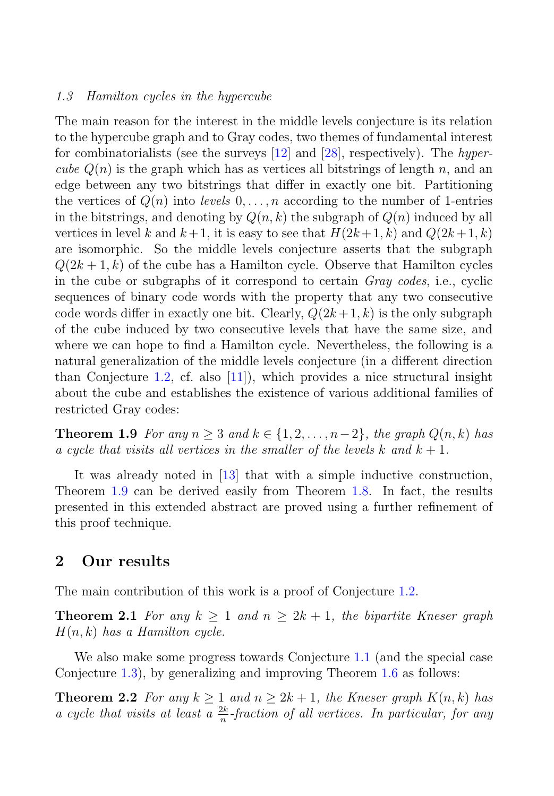#### 1.3 Hamilton cycles in the hypercube

The main reason for the interest in the middle levels conjecture is its relation to the hypercube graph and to Gray codes, two themes of fundamental interest for combinatorialists (see the surveys  $[12]$  and  $[28]$ , respectively). The hypercube  $Q(n)$  is the graph which has as vertices all bitstrings of length n, and an edge between any two bitstrings that differ in exactly one bit. Partitioning the vertices of  $Q(n)$  into levels  $0, \ldots, n$  according to the number of 1-entries in the bitstrings, and denoting by  $Q(n, k)$  the subgraph of  $Q(n)$  induced by all vertices in level k and  $k+1$ , it is easy to see that  $H(2k+1, k)$  and  $Q(2k+1, k)$ are isomorphic. So the middle levels conjecture asserts that the subgraph  $Q(2k+1, k)$  of the cube has a Hamilton cycle. Observe that Hamilton cycles in the cube or subgraphs of it correspond to certain Gray codes, i.e., cyclic sequences of binary code words with the property that any two consecutive code words differ in exactly one bit. Clearly,  $Q(2k+1, k)$  is the only subgraph of the cube induced by two consecutive levels that have the same size, and where we can hope to find a Hamilton cycle. Nevertheless, the following is a natural generalization of the middle levels conjecture (in a different direction than Conjecture 1.2, cf. also  $[11]$ , which provides a nice structural insight about the cube and establishes the existence of various additional families of restricted Gray codes:

**Theorem 1.9** For any  $n \geq 3$  and  $k \in \{1, 2, ..., n-2\}$ , the graph  $Q(n, k)$  has a cycle that visits all vertices in the smaller of the levels k and  $k + 1$ .

It was already noted in [13] that with a simple inductive construction, Theorem 1.9 can be derived easily from Theorem 1.8. In fact, the results presented in this extended abstract are proved using a further refinement of this proof technique.

## **2 Our results**

The main contribution of this work is a proof of Conjecture 1.2.

**Theorem 2.1** For any  $k > 1$  and  $n > 2k + 1$ , the bipartite Kneser graph  $H(n, k)$  has a Hamilton cycle.

We also make some progress towards Conjecture 1.1 (and the special case Conjecture 1.3), by generalizing and improving Theorem 1.6 as follows:

**Theorem 2.2** For any  $k \ge 1$  and  $n \ge 2k + 1$ , the Kneser graph  $K(n, k)$  has a cycle that visits at least a  $\frac{2k}{n}$ -fraction of all vertices. In particular, for any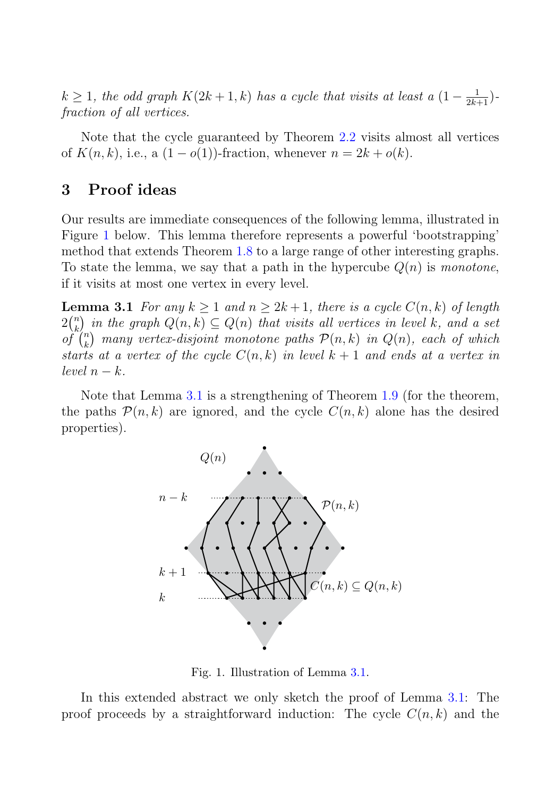$k \geq 1$ , the odd graph  $K(2k+1, k)$  has a cycle that visits at least a  $(1 - \frac{1}{2k+1})$ fraction of all vertices.

Note that the cycle guaranteed by Theorem 2.2 visits almost all vertices of  $K(n, k)$ , i.e., a  $(1 - o(1))$ -fraction, whenever  $n = 2k + o(k)$ .

# **3 Proof ideas**

Our results are immediate consequences of the following lemma, illustrated in Figure 1 below. This lemma therefore represents a powerful 'bootstrapping' method that extends Theorem 1.8 to a large range of other interesting graphs. To state the lemma, we say that a path in the hypercube  $Q(n)$  is monotone, if it visits at most one vertex in every level.

**Lemma 3.1** For any  $k \ge 1$  and  $n \ge 2k+1$ , there is a cycle  $C(n, k)$  of length  $2\binom{n}{k}$  $\binom{n}{k}$  in the graph  $Q(n, k) \subseteq Q(n)$  that visits all vertices in level k, and a set  $of$ <sup>n</sup>  $\mathcal{P}_k^n$  many vertex-disjoint monotone paths  $\mathcal{P}(n,k)$  in  $Q(n)$ , each of which starts at a vertex of the cycle  $C(n, k)$  in level  $k + 1$  and ends at a vertex in level  $n - k$ .

Note that Lemma 3.1 is a strengthening of Theorem 1.9 (for the theorem, the paths  $\mathcal{P}(n, k)$  are ignored, and the cycle  $C(n, k)$  alone has the desired properties).



Fig. 1. Illustration of Lemma 3.1.

In this extended abstract we only sketch the proof of Lemma 3.1: The proof proceeds by a straightforward induction: The cycle  $C(n, k)$  and the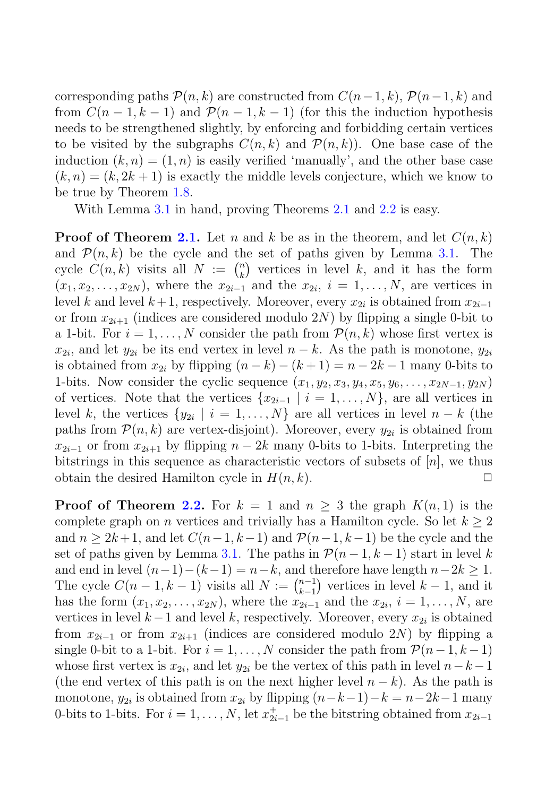corresponding paths  $\mathcal{P}(n, k)$  are constructed from  $C(n-1, k)$ ,  $\mathcal{P}(n-1, k)$  and from  $C(n-1, k-1)$  and  $\mathcal{P}(n-1, k-1)$  (for this the induction hypothesis needs to be strengthened slightly, by enforcing and forbidding certain vertices to be visited by the subgraphs  $C(n, k)$  and  $\mathcal{P}(n, k)$ . One base case of the induction  $(k, n) = (1, n)$  is easily verified 'manually', and the other base case  $(k, n) = (k, 2k + 1)$  is exactly the middle levels conjecture, which we know to be true by Theorem 1.8.

With Lemma 3.1 in hand, proving Theorems 2.1 and 2.2 is easy.

**Proof of Theorem 2.1.** Let n and k be as in the theorem, and let  $C(n, k)$ and  $\mathcal{P}(n, k)$  be the cycle and the set of paths given by Lemma 3.1. The cycle  $C(n,k)$  visits all  $N := \binom{n}{k}$  $\binom{n}{k}$  vertices in level k, and it has the form  $(x_1, x_2,...,x_{2N})$ , where the  $x_{2i-1}$  and the  $x_{2i}$ ,  $i = 1,...,N$ , are vertices in level k and level  $k+1$ , respectively. Moreover, every  $x_{2i}$  is obtained from  $x_{2i-1}$ or from  $x_{2i+1}$  (indices are considered modulo 2N) by flipping a single 0-bit to a 1-bit. For  $i = 1, \ldots, N$  consider the path from  $\mathcal{P}(n, k)$  whose first vertex is  $x_{2i}$ , and let  $y_{2i}$  be its end vertex in level  $n - k$ . As the path is monotone,  $y_{2i}$ is obtained from  $x_{2i}$  by flipping  $(n - k) - (k + 1) = n - 2k - 1$  many 0-bits to 1-bits. Now consider the cyclic sequence  $(x_1, y_2, x_3, y_4, x_5, y_6, \ldots, x_{2N-1}, y_{2N})$ of vertices. Note that the vertices  $\{x_{2i-1} | i = 1, \ldots, N\}$ , are all vertices in level k, the vertices  $\{y_{2i} \mid i = 1, \ldots, N\}$  are all vertices in level  $n - k$  (the paths from  $\mathcal{P}(n,k)$  are vertex-disjoint). Moreover, every  $y_{2i}$  is obtained from  $x_{2i-1}$  or from  $x_{2i+1}$  by flipping  $n-2k$  many 0-bits to 1-bits. Interpreting the bitstrings in this sequence as characteristic vectors of subsets of  $[n]$ , we thus obtain the desired Hamilton cycle in  $H(n, k)$ .

**Proof of Theorem 2.2.** For  $k = 1$  and  $n \geq 3$  the graph  $K(n, 1)$  is the complete graph on *n* vertices and trivially has a Hamilton cycle. So let  $k \geq 2$ and  $n \geq 2k+1$ , and let  $C(n-1, k-1)$  and  $\mathcal{P}(n-1, k-1)$  be the cycle and the set of paths given by Lemma 3.1. The paths in  $\mathcal{P}(n-1,k-1)$  start in level k and end in level  $(n-1)-(k-1) = n-k$ , and therefore have length  $n-2k \geq 1$ . The cycle  $C(n-1, k-1)$  visits all  $N := \binom{n-1}{k-1}$  $\binom{n-1}{k-1}$  vertices in level  $k-1$ , and it has the form  $(x_1, x_2,...,x_{2N})$ , where the  $x_{2i-1}$  and the  $x_{2i}$ ,  $i = 1,...,N$ , are vertices in level  $k-1$  and level k, respectively. Moreover, every  $x_{2i}$  is obtained from  $x_{2i-1}$  or from  $x_{2i+1}$  (indices are considered modulo 2N) by flipping a single 0-bit to a 1-bit. For  $i = 1, \ldots, N$  consider the path from  $\mathcal{P}(n-1, k-1)$ whose first vertex is  $x_{2i}$ , and let  $y_{2i}$  be the vertex of this path in level  $n-k-1$ (the end vertex of this path is on the next higher level  $n - k$ ). As the path is monotone,  $y_{2i}$  is obtained from  $x_{2i}$  by flipping  $(n-k-1)-k = n-2k-1$  many 0-bits to 1-bits. For  $i = 1, ..., N$ , let  $x_{2i-1}^+$  be the bitstring obtained from  $x_{2i-1}$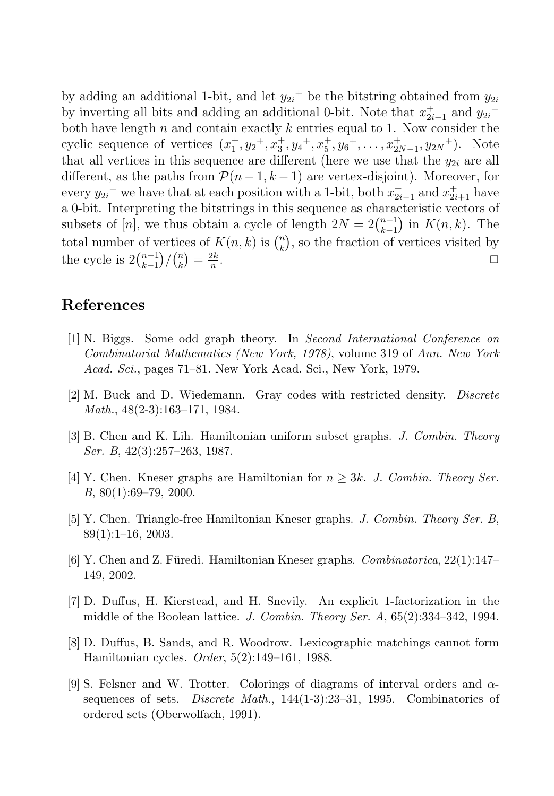by adding an additional 1-bit, and let  $\overline{y_{2i}}^+$  be the bitstring obtained from  $y_{2i}$ by inverting all bits and adding an additional 0-bit. Note that  $x_{2i-1}^+$  and  $\overline{y_{2i}}^+$ both have length  $n$  and contain exactly  $k$  entries equal to 1. Now consider the cyclic sequence of vertices  $(x_1^+, \overline{y_2}^+, x_3^+, \overline{y_4}^+, x_5^+, \overline{y_6}^+, \ldots, x_{2N-1}^+, \overline{y_{2N}}^+)$ . Note that all vertices in this sequence are different (here we use that the  $y_{2i}$  are all different, as the paths from  $\mathcal{P}(n-1,k-1)$  are vertex-disjoint). Moreover, for every  $\overline{y_{2i}}^+$  we have that at each position with a 1-bit, both  $x_{2i-1}^+$  and  $x_{2i+1}^+$  have a 0-bit. Interpreting the bitstrings in this sequence as characteristic vectors of subsets of [n], we thus obtain a cycle of length  $2N = 2\binom{n-1}{k-1}$  $\binom{n-1}{k-1}$  in  $K(n, k)$ . The total number of vertices of  $K(n, k)$  is  $\binom{n}{k}$  $\binom{n}{k}$ , so the fraction of vertices visited by the cycle is  $2\binom{n-1}{k-1}$  $_{k-1}^{n-1})/(n \choose k$  $\binom{n}{k} = \frac{2k}{n}$  $\frac{2k}{n}$ .

# **References**

- [1] N. Biggs. Some odd graph theory. In *Second International Conference on Combinatorial Mathematics (New York, 1978)*, volume 319 of *Ann. New York Acad. Sci.*, pages 71–81. New York Acad. Sci., New York, 1979.
- [2] M. Buck and D. Wiedemann. Gray codes with restricted density. *Discrete Math.*, 48(2-3):163–171, 1984.
- [3] B. Chen and K. Lih. Hamiltonian uniform subset graphs. *J. Combin. Theory Ser. B*, 42(3):257–263, 1987.
- [4] Y. Chen. Kneser graphs are Hamiltonian for  $n \geq 3k$ . *J. Combin. Theory Ser. B*, 80(1):69–79, 2000.
- [5] Y. Chen. Triangle-free Hamiltonian Kneser graphs. *J. Combin. Theory Ser. B*, 89(1):1–16, 2003.
- [6] Y. Chen and Z. F¨uredi. Hamiltonian Kneser graphs. *Combinatorica*, 22(1):147– 149, 2002.
- [7] D. Duffus, H. Kierstead, and H. Snevily. An explicit 1-factorization in the middle of the Boolean lattice. *J. Combin. Theory Ser. A*, 65(2):334–342, 1994.
- [8] D. Duffus, B. Sands, and R. Woodrow. Lexicographic matchings cannot form Hamiltonian cycles. *Order*, 5(2):149–161, 1988.
- [9] S. Felsner and W. Trotter. Colorings of diagrams of interval orders and  $\alpha$ sequences of sets. *Discrete Math.*, 144(1-3):23–31, 1995. Combinatorics of ordered sets (Oberwolfach, 1991).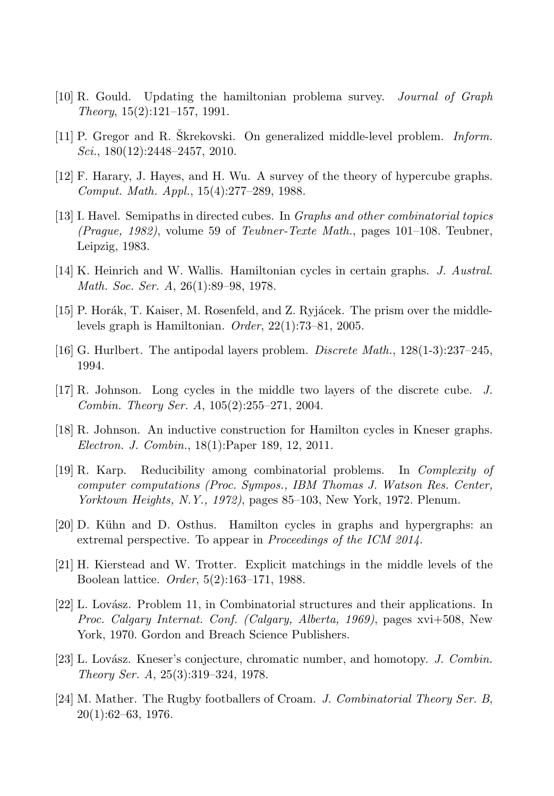- [10] R. Gould. Updating the hamiltonian problema survey. *Journal of Graph Theory*, 15(2):121–157, 1991.
- [11] P. Gregor and R. Skrekovski. On generalized middle-level problem. *Inform. Sci.*, 180(12):2448–2457, 2010.
- [12] F. Harary, J. Hayes, and H. Wu. A survey of the theory of hypercube graphs. *Comput. Math. Appl.*, 15(4):277–289, 1988.
- [13] I. Havel. Semipaths in directed cubes. In *Graphs and other combinatorial topics (Prague, 1982)*, volume 59 of *Teubner-Texte Math.*, pages 101–108. Teubner, Leipzig, 1983.
- [14] K. Heinrich and W. Wallis. Hamiltonian cycles in certain graphs. *J. Austral. Math. Soc. Ser. A*, 26(1):89–98, 1978.
- [15] P. Horák, T. Kaiser, M. Rosenfeld, and Z. Ryjácek. The prism over the middlelevels graph is Hamiltonian. *Order*, 22(1):73–81, 2005.
- [16] G. Hurlbert. The antipodal layers problem. *Discrete Math.*, 128(1-3):237–245, 1994.
- [17] R. Johnson. Long cycles in the middle two layers of the discrete cube. *J. Combin. Theory Ser. A*, 105(2):255–271, 2004.
- [18] R. Johnson. An inductive construction for Hamilton cycles in Kneser graphs. *Electron. J. Combin.*, 18(1):Paper 189, 12, 2011.
- [19] R. Karp. Reducibility among combinatorial problems. In *Complexity of computer computations (Proc. Sympos., IBM Thomas J. Watson Res. Center, Yorktown Heights, N.Y., 1972)*, pages 85–103, New York, 1972. Plenum.
- [20] D. Kühn and D. Osthus. Hamilton cycles in graphs and hypergraphs: an extremal perspective. To appear in *Proceedings of the ICM 2014*.
- [21] H. Kierstead and W. Trotter. Explicit matchings in the middle levels of the Boolean lattice. *Order*, 5(2):163–171, 1988.
- [22] L. Lovász. Problem 11, in Combinatorial structures and their applications. In *Proc. Calgary Internat. Conf. (Calgary, Alberta, 1969)*, pages xvi+508, New York, 1970. Gordon and Breach Science Publishers.
- [23] L. Lov´asz. Kneser's conjecture, chromatic number, and homotopy. *J. Combin. Theory Ser. A*, 25(3):319–324, 1978.
- [24] M. Mather. The Rugby footballers of Croam. *J. Combinatorial Theory Ser. B*, 20(1):62–63, 1976.